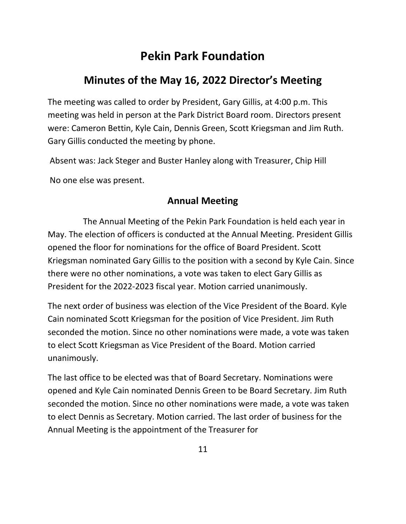# **Pekin Park Foundation**

# **Minutes of the May 16, 2022 Director's Meeting**

The meeting was called to order by President, Gary Gillis, at 4:00 p.m. This meeting was held in person at the Park District Board room. Directors present were: Cameron Bettin, Kyle Cain, Dennis Green, Scott Kriegsman and Jim Ruth. Gary Gillis conducted the meeting by phone.

Absent was: Jack Steger and Buster Hanley along with Treasurer, Chip Hill

No one else was present.

#### **Annual Meeting**

The Annual Meeting of the Pekin Park Foundation is held each year in May. The election of officers is conducted at the Annual Meeting. President Gillis opened the floor for nominations for the office of Board President. Scott Kriegsman nominated Gary Gillis to the position with a second by Kyle Cain. Since there were no other nominations, a vote was taken to elect Gary Gillis as President for the 2022-2023 fiscal year. Motion carried unanimously.

The next order of business was election of the Vice President of the Board. Kyle Cain nominated Scott Kriegsman for the position of Vice President. Jim Ruth seconded the motion. Since no other nominations were made, a vote was taken to elect Scott Kriegsman as Vice President of the Board. Motion carried unanimously.

The last office to be elected was that of Board Secretary. Nominations were opened and Kyle Cain nominated Dennis Green to be Board Secretary. Jim Ruth seconded the motion. Since no other nominations were made, a vote was taken to elect Dennis as Secretary. Motion carried. The last order of business for the Annual Meeting is the appointment of the Treasurer for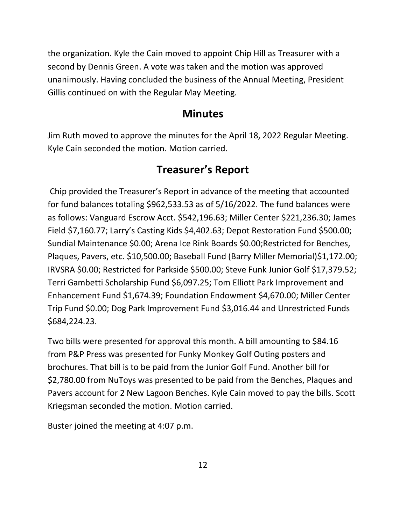the organization. Kyle the Cain moved to appoint Chip Hill as Treasurer with a second by Dennis Green. A vote was taken and the motion was approved unanimously. Having concluded the business of the Annual Meeting, President Gillis continued on with the Regular May Meeting.

#### **Minutes**

Jim Ruth moved to approve the minutes for the April 18, 2022 Regular Meeting. Kyle Cain seconded the motion. Motion carried.

### **Treasurer's Report**

Chip provided the Treasurer's Report in advance of the meeting that accounted for fund balances totaling \$962,533.53 as of 5/16/2022. The fund balances were as follows: Vanguard Escrow Acct. \$542,196.63; Miller Center \$221,236.30; James Field \$7,160.77; Larry's Casting Kids \$4,402.63; Depot Restoration Fund \$500.00; Sundial Maintenance \$0.00; Arena Ice Rink Boards \$0.00;Restricted for Benches, Plaques, Pavers, etc. \$10,500.00; Baseball Fund (Barry Miller Memorial)\$1,172.00; IRVSRA \$0.00; Restricted for Parkside \$500.00; Steve Funk Junior Golf \$17,379.52; Terri Gambetti Scholarship Fund \$6,097.25; Tom Elliott Park Improvement and Enhancement Fund \$1,674.39; Foundation Endowment \$4,670.00; Miller Center Trip Fund \$0.00; Dog Park Improvement Fund \$3,016.44 and Unrestricted Funds \$684,224.23.

Two bills were presented for approval this month. A bill amounting to \$84.16 from P&P Press was presented for Funky Monkey Golf Outing posters and brochures. That bill is to be paid from the Junior Golf Fund. Another bill for \$2,780.00 from NuToys was presented to be paid from the Benches, Plaques and Pavers account for 2 New Lagoon Benches. Kyle Cain moved to pay the bills. Scott Kriegsman seconded the motion. Motion carried.

Buster joined the meeting at 4:07 p.m.